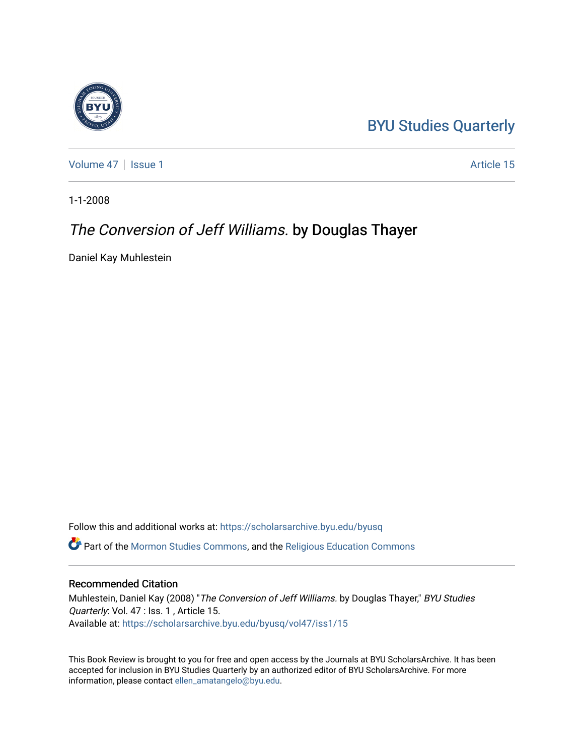# [BYU Studies Quarterly](https://scholarsarchive.byu.edu/byusq)

[Volume 47](https://scholarsarchive.byu.edu/byusq/vol47) | [Issue 1](https://scholarsarchive.byu.edu/byusq/vol47/iss1) Article 15

1-1-2008

## The Conversion of Jeff Williams. by Douglas Thayer

Daniel Kay Muhlestein

Follow this and additional works at: [https://scholarsarchive.byu.edu/byusq](https://scholarsarchive.byu.edu/byusq?utm_source=scholarsarchive.byu.edu%2Fbyusq%2Fvol47%2Fiss1%2F15&utm_medium=PDF&utm_campaign=PDFCoverPages)  Part of the [Mormon Studies Commons](http://network.bepress.com/hgg/discipline/1360?utm_source=scholarsarchive.byu.edu%2Fbyusq%2Fvol47%2Fiss1%2F15&utm_medium=PDF&utm_campaign=PDFCoverPages), and the [Religious Education Commons](http://network.bepress.com/hgg/discipline/1414?utm_source=scholarsarchive.byu.edu%2Fbyusq%2Fvol47%2Fiss1%2F15&utm_medium=PDF&utm_campaign=PDFCoverPages) 

### Recommended Citation

Muhlestein, Daniel Kay (2008) "The Conversion of Jeff Williams. by Douglas Thayer," BYU Studies Quarterly: Vol. 47 : Iss. 1, Article 15. Available at: [https://scholarsarchive.byu.edu/byusq/vol47/iss1/15](https://scholarsarchive.byu.edu/byusq/vol47/iss1/15?utm_source=scholarsarchive.byu.edu%2Fbyusq%2Fvol47%2Fiss1%2F15&utm_medium=PDF&utm_campaign=PDFCoverPages) 

This Book Review is brought to you for free and open access by the Journals at BYU ScholarsArchive. It has been accepted for inclusion in BYU Studies Quarterly by an authorized editor of BYU ScholarsArchive. For more information, please contact [ellen\\_amatangelo@byu.edu.](mailto:ellen_amatangelo@byu.edu)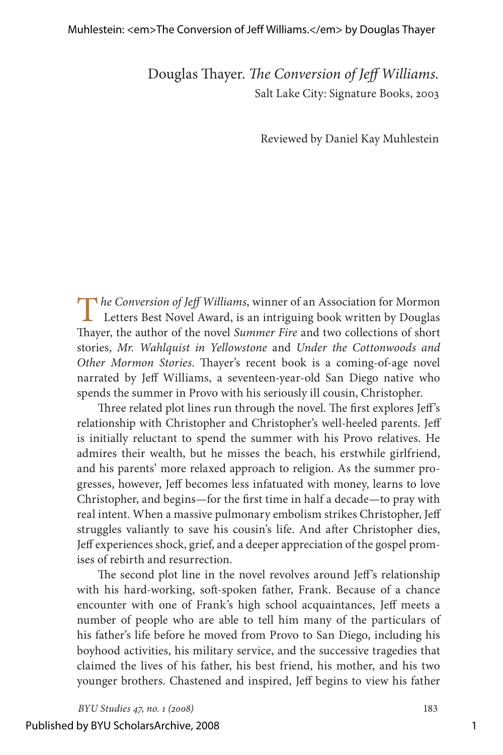#### Muhlestein: <em>The Conversion of Jeff Williams.</em> by Douglas Thayer

Douglas Thayer. *The Conversion of Jeff Williams.* Salt Lake City: Signature Books, 2003

Reviewed by Daniel Kay Muhlestein

The Conversion of Jeff Williams, winner of an Association for Mormon<br>Letters Best Novel Award, is an intriguing book written by Douglas Thayer, the author of the novel *Summer Fire* and two collections of short stories, *Mr. Wahlquist in Yellowstone* and *Under the Cottonwoods and Other Mormon Stories*. Thayer's recent book is a coming-of-age novel narrated by Jeff Williams, a seventeen-year-old San Diego native who spends the summer in Provo with his seriously ill cousin, Christopher.

Three related plot lines run through the novel. The first explores Jeff's relationship with Christopher and Christopher's well-heeled parents. Jeff is initially reluctant to spend the summer with his Provo relatives. He admires their wealth, but he misses the beach, his erstwhile girlfriend, and his parents' more relaxed approach to religion. As the summer progresses, however, Jeff becomes less infatuated with money, learns to love Christopher, and begins—for the first time in half a decade—to pray with real intent. When a massive pulmonary embolism strikes Christopher, Jeff struggles valiantly to save his cousin's life. And after Christopher dies, Jeff experiences shock, grief, and a deeper appreciation of the gospel promises of rebirth and resurrection.

The second plot line in the novel revolves around Jeff's relationship with his hard-working, soft-spoken father, Frank. Because of a chance encounter with one of Frank's high school acquaintances, Jeff meets a number of people who are able to tell him many of the particulars of his father's life before he moved from Provo to San Diego, including his boyhood activities, his military service, and the successive tragedies that claimed the lives of his father, his best friend, his mother, and his two younger brothers. Chastened and inspired, Jeff begins to view his father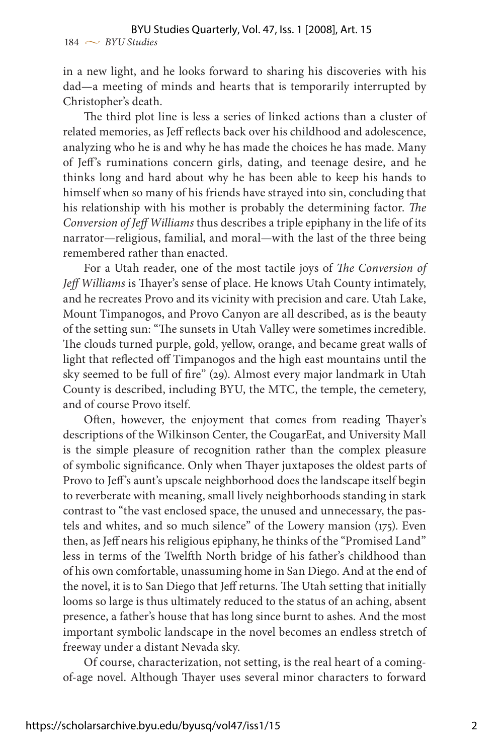in a new light, and he looks forward to sharing his discoveries with his dad—a meeting of minds and hearts that is temporarily interrupted by Christopher's death.

The third plot line is less a series of linked actions than a cluster of related memories, as Jeff reflects back over his childhood and adolescence, analyzing who he is and why he has made the choices he has made. Many of Jeff's ruminations concern girls, dating, and teenage desire, and he thinks long and hard about why he has been able to keep his hands to himself when so many of his friends have strayed into sin, concluding that his relationship with his mother is probably the determining factor. *The Conversion of Jeff Williams* thus describes a triple epiphany in the life of its narrator—religious, familial, and moral—with the last of the three being remembered rather than enacted.

For a Utah reader, one of the most tactile joys of *The Conversion of Jeff Williams* is Thayer's sense of place. He knows Utah County intimately, and he recreates Provo and its vicinity with precision and care. Utah Lake, Mount Timpanogos, and Provo Canyon are all described, as is the beauty of the setting sun: "The sunsets in Utah Valley were sometimes incredible. The clouds turned purple, gold, yellow, orange, and became great walls of light that reflected off Timpanogos and the high east mountains until the sky seemed to be full of fire" (29). Almost every major landmark in Utah County is described, including BYU, the MTC, the temple, the cemetery, and of course Provo itself.

Often, however, the enjoyment that comes from reading Thayer's descriptions of the Wilkinson Center, the CougarEat, and University Mall is the simple pleasure of recognition rather than the complex pleasure of symbolic significance. Only when Thayer juxtaposes the oldest parts of Provo to Jeff's aunt's upscale neighborhood does the landscape itself begin to reverberate with meaning, small lively neighborhoods standing in stark contrast to "the vast enclosed space, the unused and unnecessary, the pastels and whites, and so much silence" of the Lowery mansion (175). Even then, as Jeff nears his religious epiphany, he thinks of the "Promised Land" less in terms of the Twelfth North bridge of his father's childhood than of his own comfortable, unassuming home in San Diego. And at the end of the novel, it is to San Diego that Jeff returns. The Utah setting that initially looms so large is thus ultimately reduced to the status of an aching, absent presence, a father's house that has long since burnt to ashes. And the most important symbolic landscape in the novel becomes an endless stretch of freeway under a distant Nevada sky.

Of course, characterization, not setting, is the real heart of a comingof-age novel. Although Thayer uses several minor characters to forward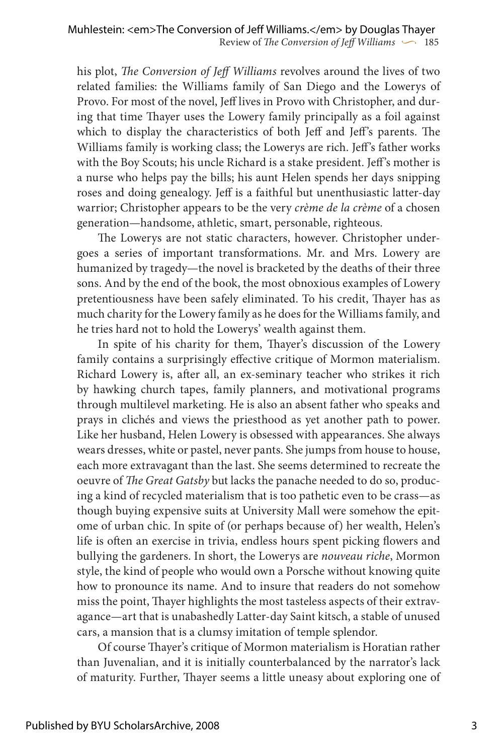his plot, *The Conversion of Jeff Williams* revolves around the lives of two related families: the Williams family of San Diego and the Lowerys of Provo. For most of the novel, Jeff lives in Provo with Christopher, and during that time Thayer uses the Lowery family principally as a foil against which to display the characteristics of both Jeff and Jeff's parents. The Williams family is working class; the Lowerys are rich. Jeff's father works with the Boy Scouts; his uncle Richard is a stake president. Jeff's mother is a nurse who helps pay the bills; his aunt Helen spends her days snipping roses and doing genealogy. Jeff is a faithful but unenthusiastic latter-day warrior; Christopher appears to be the very *crème de la crème* of a chosen generation—handsome, athletic, smart, personable, righteous.

The Lowerys are not static characters, however. Christopher undergoes a series of important transformations. Mr. and Mrs. Lowery are humanized by tragedy—the novel is bracketed by the deaths of their three sons. And by the end of the book, the most obnoxious examples of Lowery pretentiousness have been safely eliminated. To his credit, Thayer has as much charity for the Lowery family as he does for the Williams family, and he tries hard not to hold the Lowerys' wealth against them.

In spite of his charity for them, Thayer's discussion of the Lowery family contains a surprisingly effective critique of Mormon materialism. Richard Lowery is, after all, an ex-seminary teacher who strikes it rich by hawking church tapes, family planners, and motivational programs through multilevel marketing. He is also an absent father who speaks and prays in clichés and views the priesthood as yet another path to power. Like her husband, Helen Lowery is obsessed with appearances. She always wears dresses, white or pastel, never pants. She jumps from house to house, each more extravagant than the last. She seems determined to recreate the oeuvre of *The Great Gatsby* but lacks the panache needed to do so, producing a kind of recycled materialism that is too pathetic even to be crass—as though buying expensive suits at University Mall were somehow the epitome of urban chic. In spite of (or perhaps because of) her wealth, Helen's life is often an exercise in trivia, endless hours spent picking flowers and bullying the gardeners. In short, the Lowerys are *nouveau riche*, Mormon style, the kind of people who would own a Porsche without knowing quite how to pronounce its name. And to insure that readers do not somehow miss the point, Thayer highlights the most tasteless aspects of their extravagance—art that is unabashedly Latter-day Saint kitsch, a stable of unused cars, a mansion that is a clumsy imitation of temple splendor.

Of course Thayer's critique of Mormon materialism is Horatian rather than Juvenalian, and it is initially counterbalanced by the narrator's lack of maturity. Further, Thayer seems a little uneasy about exploring one of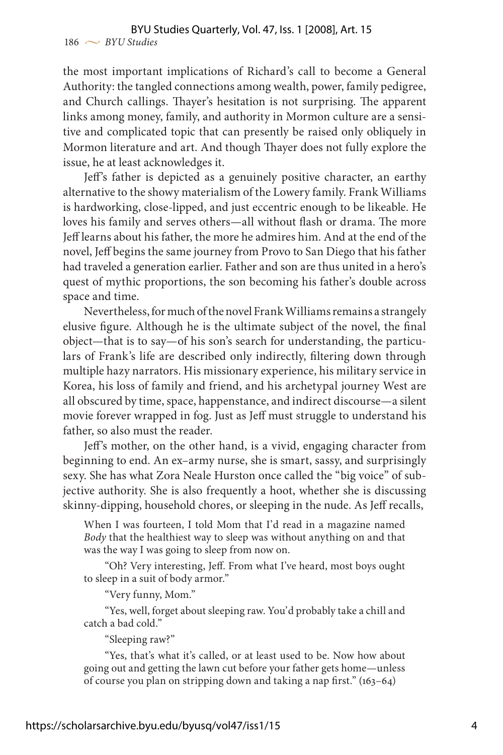the most important implications of Richard's call to become a General Authority: the tangled connections among wealth, power, family pedigree, and Church callings. Thayer's hesitation is not surprising. The apparent links among money, family, and authority in Mormon culture are a sensitive and complicated topic that can presently be raised only obliquely in Mormon literature and art. And though Thayer does not fully explore the issue, he at least acknowledges it.

Jeff's father is depicted as a genuinely positive character, an earthy alternative to the showy materialism of the Lowery family. Frank Williams is hardworking, close-lipped, and just eccentric enough to be likeable. He loves his family and serves others—all without flash or drama. The more Jeff learns about his father, the more he admires him. And at the end of the novel, Jeff begins the same journey from Provo to San Diego that his father had traveled a generation earlier. Father and son are thus united in a hero's quest of mythic proportions, the son becoming his father's double across space and time.

Nevertheless, for much of the novel Frank Williams remains a strangely elusive figure. Although he is the ultimate subject of the novel, the final object—that is to say—of his son's search for understanding, the particulars of Frank's life are described only indirectly, filtering down through multiple hazy narrators. His missionary experience, his military service in Korea, his loss of family and friend, and his archetypal journey West are all obscured by time, space, happenstance, and indirect discourse—a silent movie forever wrapped in fog. Just as Jeff must struggle to understand his father, so also must the reader.

Jeff's mother, on the other hand, is a vivid, engaging character from beginning to end. An ex–army nurse, she is smart, sassy, and surprisingly sexy. She has what Zora Neale Hurston once called the "big voice" of subjective authority. She is also frequently a hoot, whether she is discussing skinny-dipping, household chores, or sleeping in the nude. As Jeff recalls,

When I was fourteen, I told Mom that I'd read in a magazine named *Body* that the healthiest way to sleep was without anything on and that was the way I was going to sleep from now on.

"Oh? Very interesting, Jeff. From what I've heard, most boys ought to sleep in a suit of body armor."

"Very funny, Mom."

"Yes, well, forget about sleeping raw. You'd probably take a chill and catch a bad cold."

"Sleeping raw?"

"Yes, that's what it's called, or at least used to be. Now how about going out and getting the lawn cut before your father gets home—unless of course you plan on stripping down and taking a nap first." (163–64)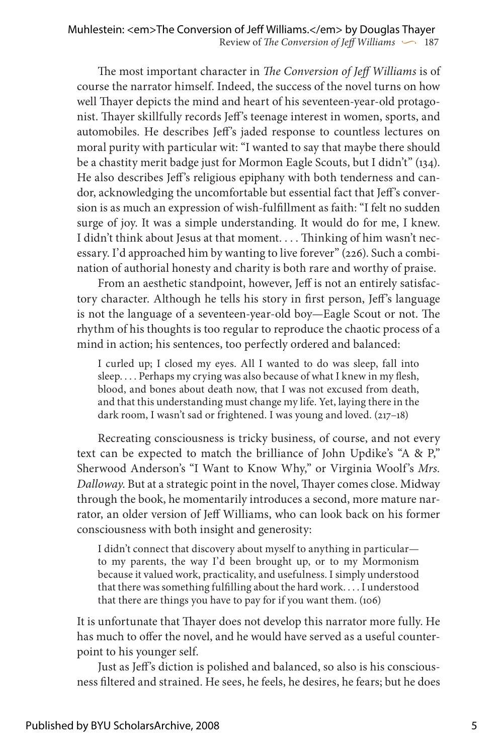The most important character in *The Conversion of Jeff Williams* is of course the narrator himself. Indeed, the success of the novel turns on how well Thayer depicts the mind and heart of his seventeen-year-old protagonist. Thayer skillfully records Jeff's teenage interest in women, sports, and automobiles. He describes Jeff's jaded response to countless lectures on moral purity with particular wit: "I wanted to say that maybe there should be a chastity merit badge just for Mormon Eagle Scouts, but I didn't" (134). He also describes Jeff's religious epiphany with both tenderness and candor, acknowledging the uncomfortable but essential fact that Jeff's conversion is as much an expression of wish-fulfillment as faith: "I felt no sudden surge of joy. It was a simple understanding. It would do for me, I knew. I didn't think about Jesus at that moment. . . . Thinking of him wasn't necessary. I'd approached him by wanting to live forever" (226). Such a combination of authorial honesty and charity is both rare and worthy of praise.

From an aesthetic standpoint, however, Jeff is not an entirely satisfactory character. Although he tells his story in first person, Jeff's language is not the language of a seventeen-year-old boy—Eagle Scout or not. The rhythm of his thoughts is too regular to reproduce the chaotic process of a mind in action; his sentences, too perfectly ordered and balanced:

I curled up; I closed my eyes. All I wanted to do was sleep, fall into sleep. . . . Perhaps my crying was also because of what I knew in my flesh, blood, and bones about death now, that I was not excused from death, and that this understanding must change my life. Yet, laying there in the dark room, I wasn't sad or frightened. I was young and loved. (217–18)

Recreating consciousness is tricky business, of course, and not every text can be expected to match the brilliance of John Updike's "A & P," Sherwood Anderson's "I Want to Know Why," or Virginia Woolf's *Mrs. Dalloway*. But at a strategic point in the novel, Thayer comes close. Midway through the book, he momentarily introduces a second, more mature narrator, an older version of Jeff Williams, who can look back on his former consciousness with both insight and generosity:

I didn't connect that discovery about myself to anything in particular to my parents, the way I'd been brought up, or to my Mormonism because it valued work, practicality, and usefulness. I simply understood that there was something fulfilling about the hard work. . . . I understood that there are things you have to pay for if you want them. (106)

It is unfortunate that Thayer does not develop this narrator more fully. He has much to offer the novel, and he would have served as a useful counterpoint to his younger self.

Just as Jeff's diction is polished and balanced, so also is his consciousness filtered and strained. He sees, he feels, he desires, he fears; but he does